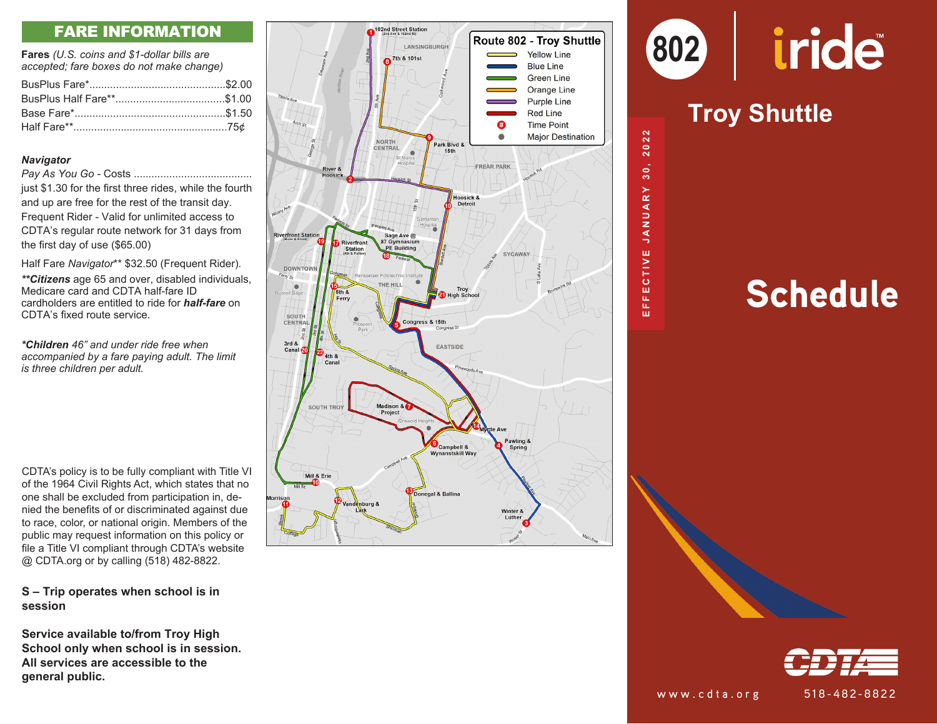### FARE INFORMATION

**Fares** *(U.S. coins and \$1-dollar bills are accepted; fare boxes do not make change)*

#### *Navigator*

*Pay As You Go -* Costs ........................................

just \$1.30 for the first three rides, while the fourth and up are free for the rest of the transit day. Frequent Rider - Valid for unlimited access to CDTA's regular route network for 31 days from the first day of use (\$65.00)

Half Fare *Navigator*\*\* \$32.50 (Frequent Rider) *.*

*\*\*Citizens* age 65 and over, disabled individuals, Medicare card and CDTA half-fare ID cardholders are entitled to ride for *half-fare* on CDTA's fixed route service.

*\*Children 46" and under ride free when accompanied by a fare paying adult. The limit is three children per adult.*

CDTA's policy is to be fully compliant with Title VI of the 1964 Civil Rights Act, which states that no one shall be excluded from participation in, de nied the benefits of or discriminated against due to race, color, or national origin. Members of the public may request information on this policy or file a Title VI compliant through CDTA's website @ CDTA.org or by calling (518) 482-8822.

### **S – Trip operates when school is in session**

**Service available to/from Troy High School only when school is in session. All services are accessible to the general public.**



# iride

### **Comout Shuttle Madison Shuttlerland / Troy Shuttle**

**802** 

**AUG 26, 2018 AUG 28,2016**

 $30,$ 

2022

**EFFECTIVE JANUARY 30, 2022**

**FECTIVE** 

ш m

JANUARY

**MAY 27, 2018** ARY 30, 202

## **Schedule**